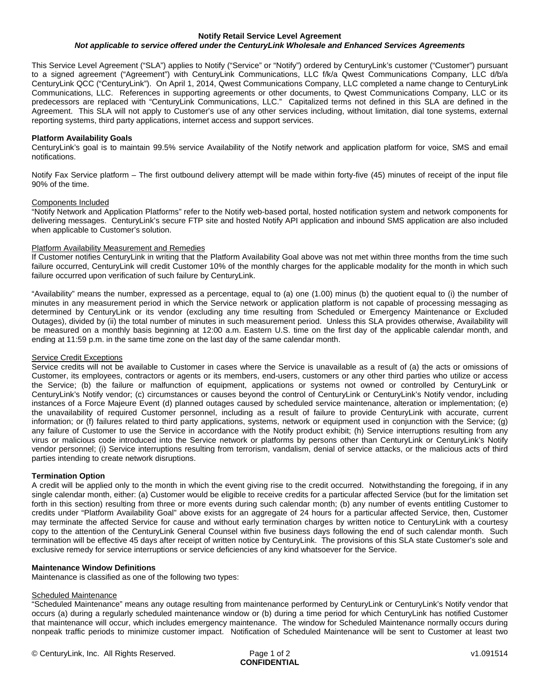#### **Notify Retail Service Level Agreement** *Not applicable to service offered under the CenturyLink Wholesale and Enhanced Services Agreements*

This Service Level Agreement ("SLA") applies to Notify ("Service" or "Notify") ordered by CenturyLink's customer ("Customer") pursuant to a signed agreement ("Agreement") with CenturyLink Communications, LLC f/k/a Qwest Communications Company, LLC d/b/a CenturyLink QCC ("CenturyLink"). On April 1, 2014, Qwest Communications Company, LLC completed a name change to CenturyLink Communications, LLC. References in supporting agreements or other documents, to Qwest Communications Company, LLC or its predecessors are replaced with "CenturyLink Communications, LLC." Capitalized terms not defined in this SLA are defined in the Agreement. This SLA will not apply to Customer's use of any other services including, without limitation, dial tone systems, external reporting systems, third party applications, internet access and support services.

## **Platform Availability Goals**

CenturyLink's goal is to maintain 99.5% service Availability of the Notify network and application platform for voice, SMS and email notifications.

Notify Fax Service platform – The first outbound delivery attempt will be made within forty-five (45) minutes of receipt of the input file 90% of the time.

## Components Included

"Notify Network and Application Platforms" refer to the Notify web-based portal, hosted notification system and network components for delivering messages. CenturyLink's secure FTP site and hosted Notify API application and inbound SMS application are also included when applicable to Customer's solution.

## Platform Availability Measurement and Remedies

If Customer notifies CenturyLink in writing that the Platform Availability Goal above was not met within three months from the time such failure occurred, CenturyLink will credit Customer 10% of the monthly charges for the applicable modality for the month in which such failure occurred upon verification of such failure by CenturyLink.

"Availability" means the number, expressed as a percentage, equal to (a) one (1.00) minus (b) the quotient equal to (i) the number of minutes in any measurement period in which the Service network or application platform is not capable of processing messaging as determined by CenturyLink or its vendor (excluding any time resulting from Scheduled or Emergency Maintenance or Excluded Outages), divided by (ii) the total number of minutes in such measurement period. Unless this SLA provides otherwise, Availability will be measured on a monthly basis beginning at 12:00 a.m. Eastern U.S. time on the first day of the applicable calendar month, and ending at 11:59 p.m. in the same time zone on the last day of the same calendar month.

#### Service Credit Exceptions

Service credits will not be available to Customer in cases where the Service is unavailable as a result of (a) the acts or omissions of Customer, its employees, contractors or agents or its members, end-users, customers or any other third parties who utilize or access the Service; (b) the failure or malfunction of equipment, applications or systems not owned or controlled by CenturyLink or CenturyLink's Notify vendor; (c) circumstances or causes beyond the control of CenturyLink or CenturyLink's Notify vendor, including instances of a Force Majeure Event (d) planned outages caused by scheduled service maintenance, alteration or implementation; (e) the unavailability of required Customer personnel, including as a result of failure to provide CenturyLink with accurate, current information; or (f) failures related to third party applications, systems, network or equipment used in conjunction with the Service; (g) any failure of Customer to use the Service in accordance with the Notify product exhibit; (h) Service interruptions resulting from any virus or malicious code introduced into the Service network or platforms by persons other than CenturyLink or CenturyLink's Notify vendor personnel; (i) Service interruptions resulting from terrorism, vandalism, denial of service attacks, or the malicious acts of third parties intending to create network disruptions.

# **Termination Option**

A credit will be applied only to the month in which the event giving rise to the credit occurred. Notwithstanding the foregoing, if in any single calendar month, either: (a) Customer would be eligible to receive credits for a particular affected Service (but for the limitation set forth in this section) resulting from three or more events during such calendar month; (b) any number of events entitling Customer to credits under "Platform Availability Goal" above exists for an aggregate of 24 hours for a particular affected Service, then, Customer may terminate the affected Service for cause and without early termination charges by written notice to CenturyLink with a courtesy copy to the attention of the CenturyLink General Counsel within five business days following the end of such calendar month. Such termination will be effective 45 days after receipt of written notice by CenturyLink. The provisions of this SLA state Customer's sole and exclusive remedy for service interruptions or service deficiencies of any kind whatsoever for the Service.

# **Maintenance Window Definitions**

Maintenance is classified as one of the following two types:

# Scheduled Maintenance

"Scheduled Maintenance" means any outage resulting from maintenance performed by CenturyLink or CenturyLink's Notify vendor that occurs (a) during a regularly scheduled maintenance window or (b) during a time period for which CenturyLink has notified Customer that maintenance will occur, which includes emergency maintenance. The window for Scheduled Maintenance normally occurs during nonpeak traffic periods to minimize customer impact. Notification of Scheduled Maintenance will be sent to Customer at least two